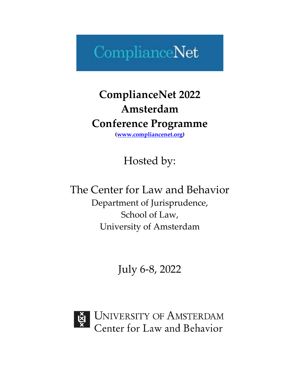# ComplianceNet

# **ComplianceNet 2022 Amsterdam Conference Programme (www.compliancenet.org)**

Hosted by:

The Center for Law and Behavior Department of Jurisprudence, School of Law, University of Amsterdam

July 6-8, 2022



UNIVERSITY OF AMSTERDAM<br>Center for Law and Behavior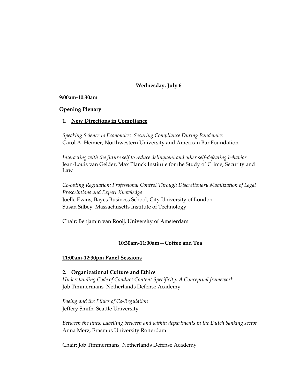# **Wednesday, July 6**

#### **9:00am-10:30am**

# **Opening Plenary**

# **1. New Directions in Compliance**

*Speaking Science to Economics: Securing Compliance During Pandemics*  Carol A. Heimer, Northwestern University and American Bar Foundation

*Interacting with the future self to reduce delinquent and other self-defeating behavior* Jean-Louis van Gelder, Max Planck Institute for the Study of Crime, Security and Law

*Co-opting Regulation: Professional Control Through Discretionary Mobilization of Legal Prescriptions and Expert Knowledge* Joelle Evans, Bayes Business School, City University of London Susan Silbey, Massachusetts Institute of Technology

Chair: Benjamin van Rooij, University of Amsterdam

#### **10:30am-11:00am—Coffee and Tea**

# **11:00am-12:30pm Panel Sessions**

# **2. Organizational Culture and Ethics**

*Understanding Code of Conduct Content Specificity: A Conceptual framework* Job Timmermans, Netherlands Defense Academy

*Boeing and the Ethics of Co-Regulation* Jeffery Smith, Seattle University

*Between the lines: Labelling between and within departments in the Dutch banking sector* Anna Merz, Erasmus University Rotterdam

Chair: Job Timmermans, Netherlands Defense Academy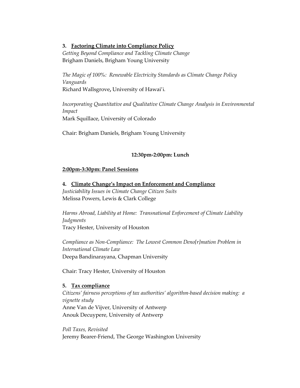#### **3. Factoring Climate into Compliance Policy**

*Getting Beyond Compliance and Tackling Climate Change* Brigham Daniels, Brigham Young University

*The Magic of 100%: Renewable Electricity Standards as Climate Change Policy Vanguards* Richard Wallsgrove**,** University of Hawai'i*.*

*Incorporating Quantitative and Qualitative Climate Change Analysis in Environmental Impact*  Mark Squillace, University of Colorado

Chair: Brigham Daniels, Brigham Young University

# **12:30pm-2:00pm: Lunch**

#### **2:00pm-3:30pm: Panel Sessions**

**4. Climate Change's Impact on Enforcement and Compliance** *Justiciability Issues in Climate Change Citizen Suits*  Melissa Powers, Lewis & Clark College

*Harms Abroad, Liability at Home: Transnational Enforcement of Climate Liability Judgments* Tracy Hester, University of Houston

*Compliance as Non-Compliance: The Lowest Common Deno[r]mation Problem in International Climate Law* Deepa Bandinarayana, Chapman University

Chair: Tracy Hester, University of Houston

# **5. Tax compliance**

*Citizens' fairness perceptions of tax authorities' algorithm-based decision making: a vignette study* Anne Van de Vijver, University of Antwerp Anouk Decuypere, University of Antwerp

*Poll Taxes, Revisited* Jeremy Bearer-Friend, The George Washington University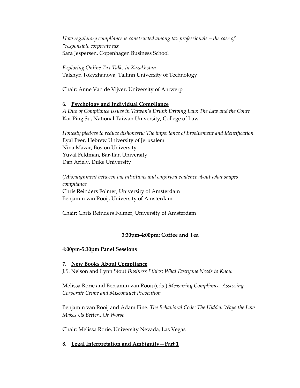*How regulatory compliance is constructed among tax professionals – the case of "responsible corporate tax"* Sara Jespersen, Copenhagen Business School

*Exploring Online Tax Talks in Kazakhstan* Talshyn Tokyzhanova, Tallinn University of Technology

Chair: Anne Van de Vijver, University of Antwerp

# **6. Psychology and Individual Compliance**

*A Duo of Compliance Issues in Taiwan's Drunk Driving Law: The Law and the Court* Kai-Ping Su, National Taiwan University, College of Law

*Honesty pledges to reduce dishonesty: The importance of Involvement and Identification* Eyal Peer, Hebrew University of Jerusalem Nina Mazar, Boston University Yuval Feldman, Bar-Ilan University Dan Ariely, Duke University

(*Mis)alignment between lay intuitions and empirical evidence about what shapes compliance* Chris Reinders Folmer, University of Amsterdam Benjamin van Rooij, University of Amsterdam

Chair: Chris Reinders Folmer, University of Amsterdam

# **3:30pm-4:00pm: Coffee and Tea**

# **4:00pm-5:30pm Panel Sessions**

# **7. New Books About Compliance**

J.S. Nelson and Lynn Stout *Business Ethics: What Everyone Needs to Know*

Melissa Rorie and Benjamin van Rooij (eds.) *Measuring Compliance: Assessing Corporate Crime and Misconduct Prevention*

Benjamin van Rooij and Adam Fine. *The Behavioral Code: The Hidden Ways the Law Makes Us Better...Or Worse*

Chair: Melissa Rorie, University Nevada, Las Vegas

# **8. Legal Interpretation and Ambiguity—Part 1**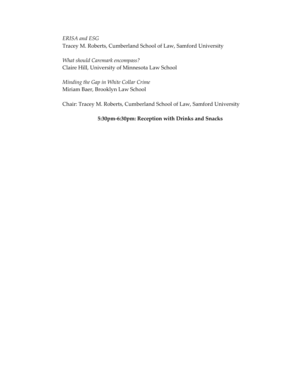*ERISA and ESG* Tracey M. Roberts, Cumberland School of Law, Samford University

*What should Caremark encompass?* Claire Hill, University of Minnesota Law School

*Minding the Gap in White Collar Crime* Miriam Baer, Brooklyn Law School

Chair: Tracey M. Roberts, Cumberland School of Law, Samford University

# **5:30pm-6:30pm: Reception with Drinks and Snacks**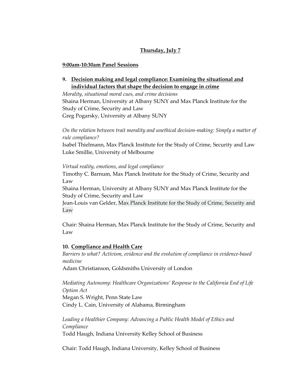# **Thursday, July 7**

# **9:00am-10:30am Panel Sessions**

**9. Decision making and legal compliance: Examining the situational and individual factors that shape the decision to engage in crime**

*Morality, situational moral cues, and crime decisions* Shaina Herman, University at Albany SUNY and Max Planck Institute for the Study of Crime, Security and Law Greg Pogarsky, University at Albany SUNY

*On the relation between trait morality and unethical decision-making: Simply a matter of rule compliance?*

Isabel Thielmann, Max Planck Institute for the Study of Crime, Security and Law Luke Smillie, University of Melbourne

*Virtual reality, emotions, and legal compliance*

Timothy C. Barnum, Max Planck Institute for the Study of Crime, Security and Law

Shaina Herman, University at Albany SUNY and Max Planck Institute for the Study of Crime, Security and Law

Jean-Louis van Gelder, Max Planck Institute for the Study of Crime, Security and Law

Chair: Shaina Herman, Max Planck Institute for the Study of Crime, Security and Law

# **10. Compliance and Health Care**

*Barriers to what? Activism, evidence and the evolution of compliance in evidence-based medicine*

Adam Christianson, Goldsmiths University of London

*Mediating Autonomy: Healthcare Organizations' Response to the California End of Life Option Act* Megan S. Wright, Penn State Law Cindy L. Cain, University of Alabama, Birmingham

*Leading a Healthier Company: Advancing a Public Health Model of Ethics and Compliance* Todd Haugh, Indiana University Kelley School of Business

Chair: Todd Haugh, Indiana University, Kelley School of Business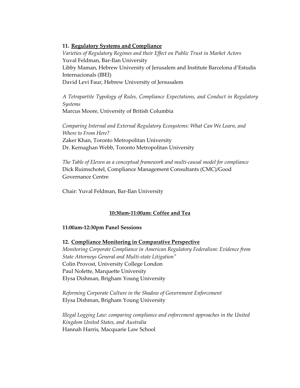#### **11. Regulatory Systems and Compliance**

*Varieties of Regulatory Regimes and their Effect on Public Trust in Market Actors* Yuval Feldman, Bar-Ilan University Libby Maman, Hebrew University of Jerusalem and Institute Barcelona d'Estudis Internacionals (IBEI) David Levi Faur, Hebrew University of Jersusalem

*A Tetrapartite Typology of Rules, Compliance Expectations, and Conduct in Regulatory Systems*  Marcus Moore, University of British Columbia

*Comparing Internal and External Regulatory Ecosystems: What Can We Learn, and Where to From Here?* Zaker Khan, Toronto Metropolitan University Dr. Kernaghan Webb, Toronto Metropolitan University

*The Table of Eleven as a conceptual framework and multi-causal model for compliance* Dick Ruimschotel, Compliance Management Consultants (CMC)/Good Governance Centre

Chair: Yuval Feldman, Bar-Ilan University

# **10:30am-11:00am: Coffee and Tea**

#### **11:00am-12:30pm Panel Sessions**

**12. Compliance Monitoring in Comparative Perspective** *Monitoring Corporate Compliance in American Regulatory Federalism: Evidence from State Attorneys General and Multi-state Litigation"*  Colin Provost, University College London Paul Nolette, Marquette University Elysa Dishman, Brigham Young University

*Reforming Corporate Culture in the Shadow of Government Enforcement* Elysa Dishman, Brigham Young University

*Illegal Logging Law: comparing compliance and enforcement approaches in the United Kingdom United States, and Australia* Hannah Harris, Macquarie Law School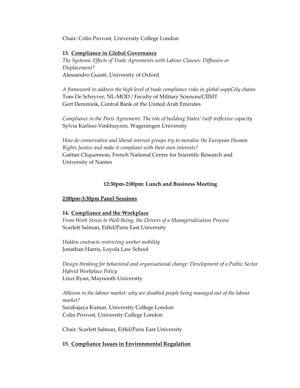Chair: Colin Provost, University College London

# **13. Compliance in Global Governance**

*The Systemic Effects of Trade Agreements with Labour Clauses: Diffusion or Displacement?* Alessandro Guasti, University of Oxford

*A framework to address the high level of trade compliance risks in global suppCely chains* Tom De Schryver, NL-MOD / Faculty of Military Sciences/CIIMT Gert Demmink, Central Bank of the United Arab Emirates

*Compliance in the Paris Agreement: The role of building States' (self-)reflexive capacity*  Sylvia Karlsso-Vinkhuyzen, Wageningen University

*How do conservative and liberal interest groups try to moralise the European Human Rights Justice and make it compliant with their own interests?* Gaëtan Cliquennois, French National Centre for Scientific Research and University of Nantes

# **12:30pm-2:00pm: Lunch and Business Meeting**

# **2:00pm-3:30pm Panel Sessions**

# **14. Compliance and the Workplace**

*From Work Stress to Well-Being, the Drivers of a Managerialization Process* Scarlett Salman, Eiffel/Paris East University

*Hidden contracts restricting worker mobility* Jonathan Harris, Loyola Law School

*Design thinking for behavioral and organisational change: Development of a Public Sector Hybrid Workplace Policy* Linzi Ryan, Maynooth University

*Ableism in the labour market: why are disabled people being managed out of the labour market?* Sarabajaya Kumar, University College London Colin Provost, University College London

Chair: Scarlett Salman, Eiffel/Paris East University

# **15. Compliance Issues in Environmental Regulation**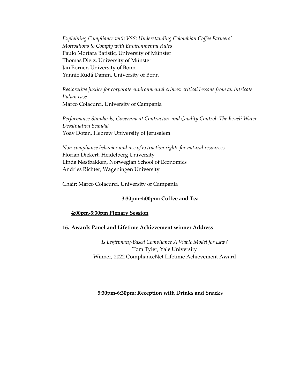*Explaining Compliance with VSS: Understanding Colombian Coffee Farmers' Motivations to Comply with Environmental Rules* Paulo Mortara Batistic, University of Münster Thomas Dietz, University of Münster Jan Börner, University of Bonn Yannic Rudá Damm, University of Bonn

*Restorative justice for corporate environmental crimes: critical lessons from an intricate Italian case* Marco Colacurci, University of Campania

*Performance Standards, Government Contractors and Quality Control: The Israeli Water Desalination Scandal* Yoav Dotan, Hebrew University of Jerusalem

*Non-compliance behavior and use of extraction rights for natural resources* Florian Diekert, Heidelberg University Linda Nøstbakken, Norwegian School of Economics Andries Richter, Wageningen University

Chair: Marco Colacurci, University of Campania

# **3:30pm-4:00pm: Coffee and Tea**

#### **4:00pm-5:30pm Plenary Session**

# **16. Awards Panel and Lifetime Achievement winner Address**

*Is Legitimacy-Based Compliance A Viable Model for Law?* Tom Tyler, Yale University Winner, 2022 ComplianceNet Lifetime Achievement Award

# **5:30pm-6:30pm: Reception with Drinks and Snacks**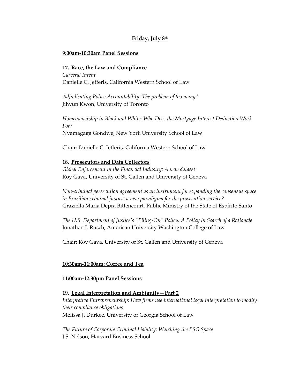# **Friday, July 8th**

#### **9:00am-10:30am Panel Sessions**

#### **17. Race, the Law and Compliance**

*Carceral Intent* Danielle C. Jefferis, California Western School of Law

*Adjudicating Police Accountability: The problem of too many?* Jihyun Kwon, University of Toronto

*Homeownership in Black and White: Who Does the Mortgage Interest Deduction Work For?* Nyamagaga Gondwe, New York University School of Law

Chair: Danielle C. Jefferis, California Western School of Law

#### **18. Prosecutors and Data Collectors**

*Global Enforcement in the Financial Industry: A new dataset* Roy Gava, University of St. Gallen and University of Geneva

*Non-criminal persecution agreement as an instrument for expanding the consensus space in Brazilian criminal justice: a new paradigma for the prosecution service?* Graziella Maria Depra Bittencourt, Public Ministry of the State of Espírito Santo

*The U.S. Department of Justice's "Piling-On" Policy: A Policy in Search of a Rationale* Jonathan J. Rusch, American University Washington College of Law

Chair: Roy Gava, University of St. Gallen and University of Geneva

# **10:30am-11:00am: Coffee and Tea**

#### **11:00am-12:30pm Panel Sessions**

# **19. Legal Interpretation and Ambiguity—Part 2**

*Interpretive Entrepreneurship: How firms use international legal interpretation to modify their compliance obligations* Melissa J. Durkee, University of Georgia School of Law

*The Future of Corporate Criminal Liability: Watching the ESG Space* J.S. Nelson, Harvard Business School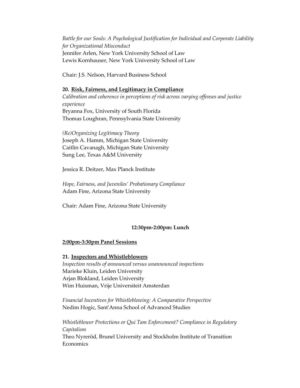*Battle for our Souls: A Psychological Justification for Individual and Corporate Liability for Organizational Misconduct*  Jennifer Arlen, New York University School of Law Lewis Kornhauser, New York University School of Law

Chair: J.S. Nelson, Harvard Business School

# **20. Risk, Fairness, and Legitimacy in Compliance** *Calibration and coherence in perceptions of risk across varying offenses and justice experience*  Bryanna Fox, University of South Florida Thomas Loughran, Pennsylvania State University

*(Re)Organizing Legitimacy Theory* Joseph A. Hamm, Michigan State University Caitlin Cavanagh, Michigan State University Sung Lee, Texas A&M University

Jessica R. Deitzer, Max Planck Institute

*Hope, Fairness, and Juveniles' Probationary Compliance* Adam Fine, Arizona State University

Chair: Adam Fine, Arizona State University

# **12:30pm-2:00pm: Lunch**

#### **2:00pm-3:30pm Panel Sessions**

#### **21. Inspectors and Whistleblowers**

*Inspection results of announced versus unannounced inspections* Marieke Kluin, Leiden University Arjan Blokland, Leiden University Wim Huisman, Vrije Universiteit Amsterdan

*Financial Incentives for Whistleblowing: A Comparative Perspective* Nedim Hogic, Sant'Anna School of Advanced Studies

*Whistleblower Protections or Qui Tam Enforcement? Compliance in Regulatory Capitalism* Theo Nyreröd, Brunel University and Stockholm Institute of Transition Economics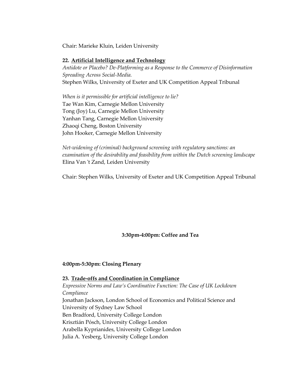Chair: Marieke Kluin, Leiden University

#### **22. Artificial Intelligence and Technology**

*Antidote or Placebo? De-Platforming as a Response to the Commerce of Disinformation Spreading Across Social-Media.*  Stephen Wilks, University of Exeter and UK Competition Appeal Tribunal

*When is it permissible for artificial intelligence to lie?* Tae Wan Kim, Carnegie Mellon University Tong (Joy) Lu, Carnegie Mellon University Yanhan Tang, Carnegie Mellon University Zhaoqi Cheng, Boston University John Hooker, Carnegie Mellon University

*Net-widening of (criminal) background screening with regulatory sanctions: an examination of the desirability and feasibility from within the Dutch screening landscape* Elina Van 't Zand, Leiden University

Chair: Stephen Wilks, University of Exeter and UK Competition Appeal Tribunal

**3:30pm-4:00pm: Coffee and Tea**

#### **4:00pm-5:30pm: Closing Plenary**

**23. Trade-offs and Coordination in Compliance** *Expressive Norms and Law's Coordinative Function: The Case of UK Lockdown Compliance* Jonathan Jackson, London School of Economics and Political Science and University of Sydney Law School Ben Bradford, University College London Krisztián Pósch, University College London Arabella Kyprianides, University College London Julia A. Yesberg, University College London